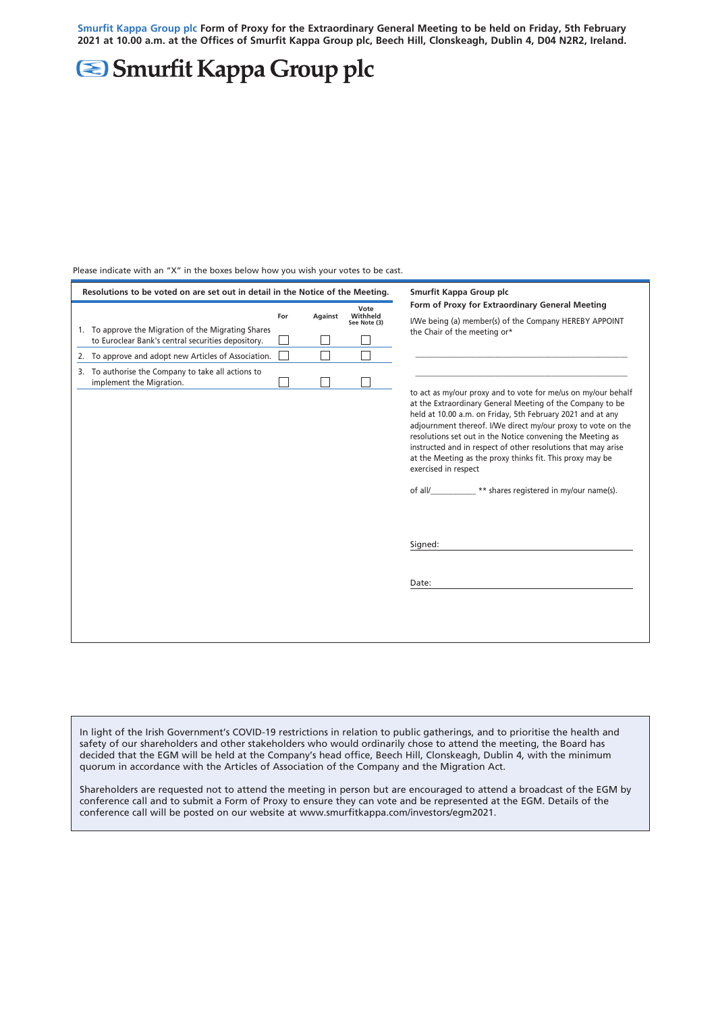Smurfit Kappa Group plc Form of Proxy for the Extraordinary General Meeting to be held on Friday, 5th February 2021 at 10.00 a.m. at the Offices of Smurfit Kappa Group plc, Beech Hill, Clonskeagh, Dublin 4, D04 N2R2, Ireland.

## Smurfit Kappa Group plc

Please indicate with an "X" in the boxes below how you wish your votes to be cast.

| Resolutions to be voted on are set out in detail in the Notice of the Meeting.                                                                                                                                                                      |     |         |                                  | Smurfit Kappa Group plc                                                                                                                                                                                                                                                                                                                                                                                     |
|-----------------------------------------------------------------------------------------------------------------------------------------------------------------------------------------------------------------------------------------------------|-----|---------|----------------------------------|-------------------------------------------------------------------------------------------------------------------------------------------------------------------------------------------------------------------------------------------------------------------------------------------------------------------------------------------------------------------------------------------------------------|
| 1. To approve the Migration of the Migrating Shares<br>to Euroclear Bank's central securities depository.<br>2. To approve and adopt new Articles of Association.<br>3. To authorise the Company to take all actions to<br>implement the Migration. | For | Against | Vote<br>Withheld<br>See Note (3) | Form of Proxy for Extraordinary General Meeting<br>I/We being (a) member(s) of the Company HEREBY APPOINT<br>the Chair of the meeting or*<br>to act as my/our proxy and to vote for me/us on my/our behalf                                                                                                                                                                                                  |
|                                                                                                                                                                                                                                                     |     |         |                                  | at the Extraordinary General Meeting of the Company to be<br>held at 10.00 a.m. on Friday, 5th February 2021 and at any<br>adjournment thereof. I/We direct my/our proxy to vote on the<br>resolutions set out in the Notice convening the Meeting as<br>instructed and in respect of other resolutions that may arise<br>at the Meeting as the proxy thinks fit. This proxy may be<br>exercised in respect |
|                                                                                                                                                                                                                                                     |     |         |                                  | ** shares registered in my/our name(s).<br>of all/                                                                                                                                                                                                                                                                                                                                                          |
|                                                                                                                                                                                                                                                     |     |         |                                  | Signed:                                                                                                                                                                                                                                                                                                                                                                                                     |
|                                                                                                                                                                                                                                                     |     |         |                                  | Date:                                                                                                                                                                                                                                                                                                                                                                                                       |

In light of the Irish Government's COVID-19 restrictions in relation to public gatherings, and to prioritise the health and safety of our shareholders and other stakeholders who would ordinarily chose to attend the meeting, the Board has decided that the EGM will be held at the Company's head office, Beech Hill, Clonskeagh, Dublin 4, with the minimum quorum in accordance with the Articles of Association of the Company and the Migration Act.

Shareholders are requested not to attend the meeting in person but are encouraged to attend a broadcast of the EGM by conference call and to submit a Form of Proxy to ensure they can vote and be represented at the EGM. Details of the conference call will be posted on our website at www.smurfitkappa.com/investors/egm2021.